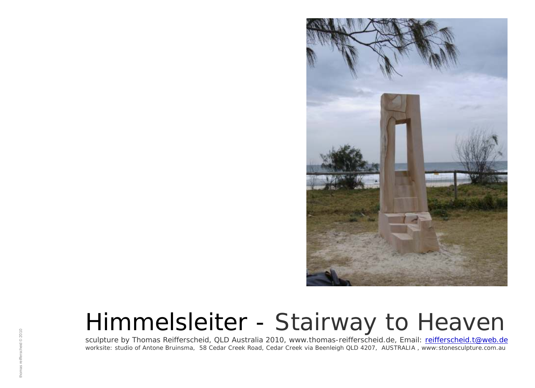

sculpture by Thomas Reifferscheid, QLD Australia 2010, www.thomas-reifferscheid.de, Email: <u>[reifferscheid.t@web.de](mailto:reifferscheid.t@web.de)</u> worksite: studio of Antone Bruinsma, 58 Cedar Creek Road, Cedar Creek via Beenleigh QLD 4207, AUSTRALIA, www:stonesculpture.com.au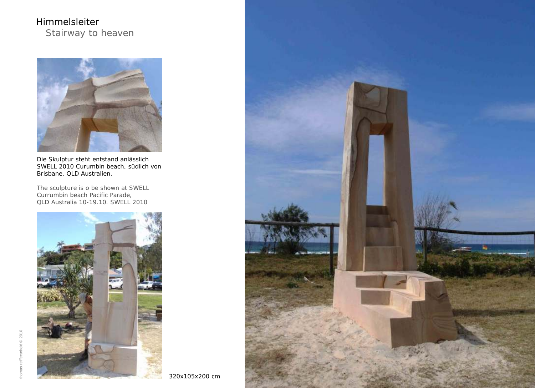

Die Skulptur steht entstand anlässlich SWELL 2010 Curumbin beach, südlich von Brisbane, QLD Australien.

The sculpture is o be shown at SWELL Currumbin beach Pacific Parade, QLD Australia 10-19.10. SWELL 2010





320x105x200 cm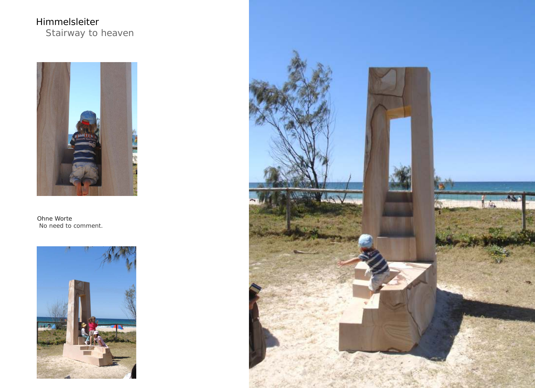

Ohne Worte No need to comment.



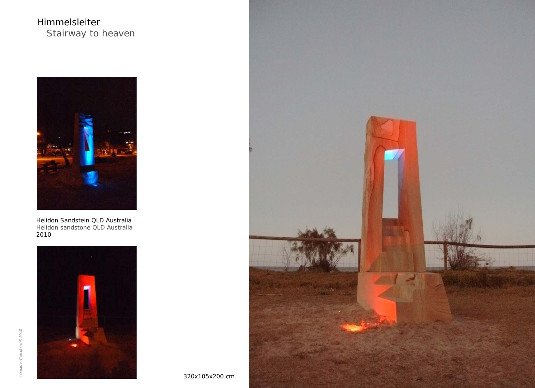

Helidon Sandstein QLD Australia 2010 Helidon sandstone QLD Australia





320x105x200 cm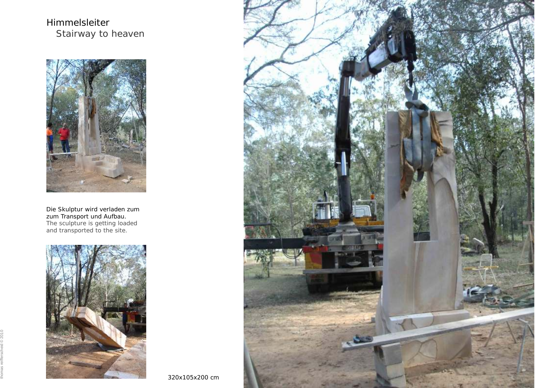

Die Skulptur wird verladen zum zum Transport und Aufbau. The sculpture is getting loaded and transported to the site.



thomas reifferscheid © 2010



320x105x200 cm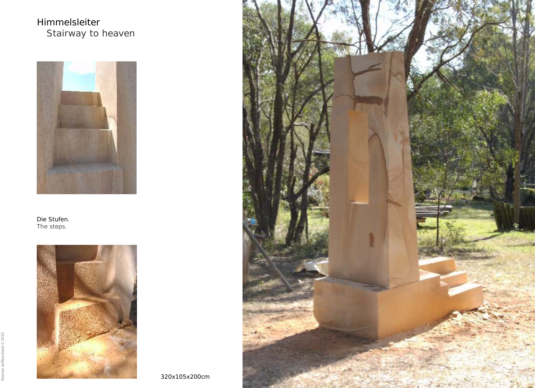

Die Stufen. The steps.





320x105x200cm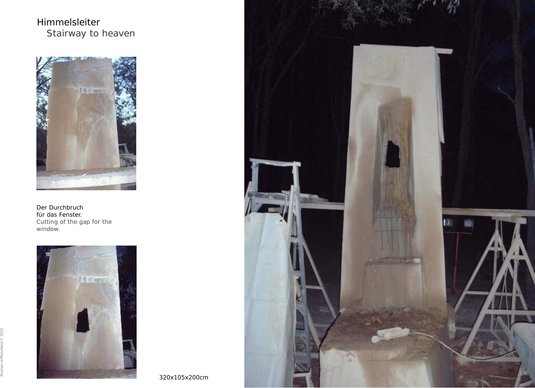Himmelsleiter Stairway to heaven



Der Durchbruch für das Fenster. Cutting of the gap for the window.



thomas reifferscheid © 2010

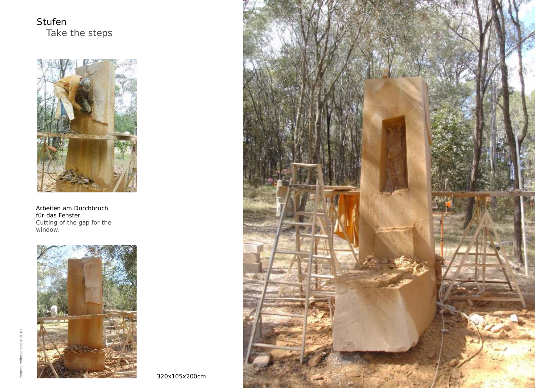Stufen Take the steps



Arbeiten am Durchbruch für das Fenster. Cutting of the gap for the window.



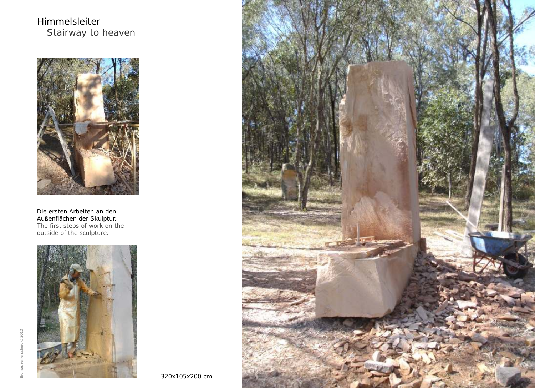Himmelsleiter Stairway to heaven



Die ersten Arbeiten an den Außenflächen der Skulptur. The first steps of work on the outside of the sculpture.





heid  $@2010$ thomas reifferscheid © 2010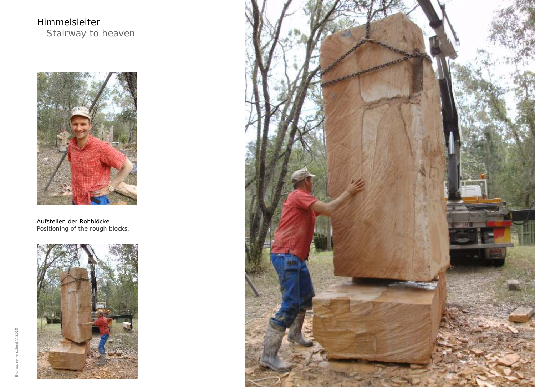Himmelsleiter Stairway to heaven



Aufstellen der Rohblöcke. Positioning of the rough blocks.